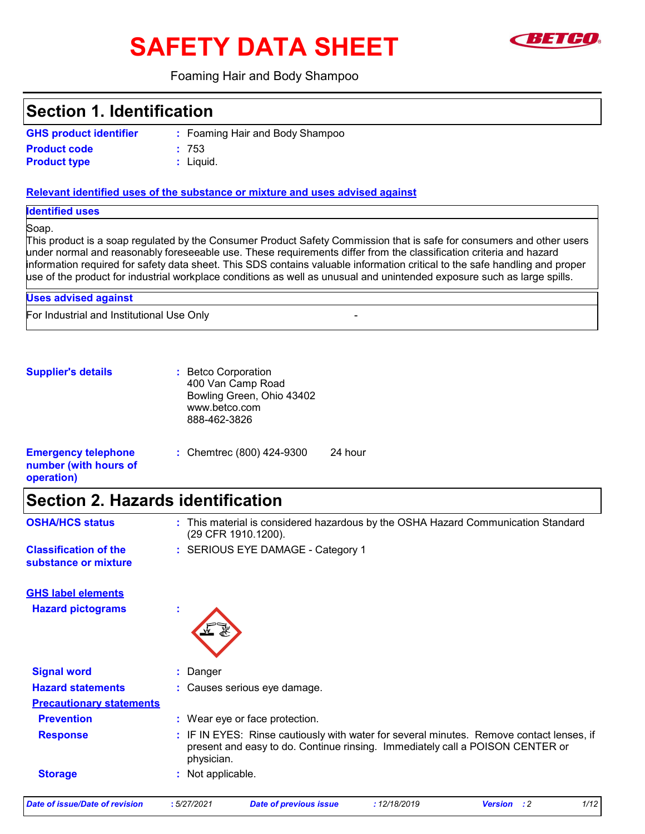# **SAFETY DATA SHEET**



#### Foaming Hair and Body Shampoo

Foaming Hair and Body Shampoo **:**

### **Section 1. Identification**

| <b>GHS product identifier</b> |  |
|-------------------------------|--|
|-------------------------------|--|

**Product type Product code :** 753

Liquid. **:**

#### **Relevant identified uses of the substance or mixture and uses advised against**

**Identified uses**

Soap.

This product is a soap regulated by the Consumer Product Safety Commission that is safe for consumers and other users under normal and reasonably foreseeable use. These requirements differ from the classification criteria and hazard information required for safety data sheet. This SDS contains valuable information critical to the safe handling and proper use of the product for industrial workplace conditions as well as unusual and unintended exposure such as large spills.

24 hour

For Industrial and Institutional Use Only - **Uses advised against**

**Supplier's details :** Betco Corporation 400 Van Camp Road Bowling Green, Ohio 43402 www.betco.com 888-462-3826

| <b>Emergency telephone</b><br>number (with hours of<br>operation) | : Chemtrec (800) 424-9300 |
|-------------------------------------------------------------------|---------------------------|
|                                                                   |                           |

### **Section 2. Hazards identification**

**Classification of the**  $\qquad$ **: SERIOUS EYE DAMAGE - Category 1 substance or mixture**

(29 CFR 1910.1200).

**OSHA/HCS status :** This material is considered hazardous by the OSHA Hazard Communication Standard

**GHS label elements**





| <b>Signal word</b>              | : Danger                                                                                                                                                                                |  |
|---------------------------------|-----------------------------------------------------------------------------------------------------------------------------------------------------------------------------------------|--|
| <b>Hazard statements</b>        | : Causes serious eye damage.                                                                                                                                                            |  |
| <b>Precautionary statements</b> |                                                                                                                                                                                         |  |
| <b>Prevention</b>               | : Wear eye or face protection.                                                                                                                                                          |  |
| <b>Response</b>                 | : IF IN EYES: Rinse cautiously with water for several minutes. Remove contact lenses, if<br>present and easy to do. Continue rinsing. Immediately call a POISON CENTER or<br>physician. |  |
| <b>Storage</b>                  | : Not applicable.                                                                                                                                                                       |  |

*Date of issue/Date of revision* **:** *5/27/2021 Date of previous issue : 12/18/2019 Version : 2 1/12*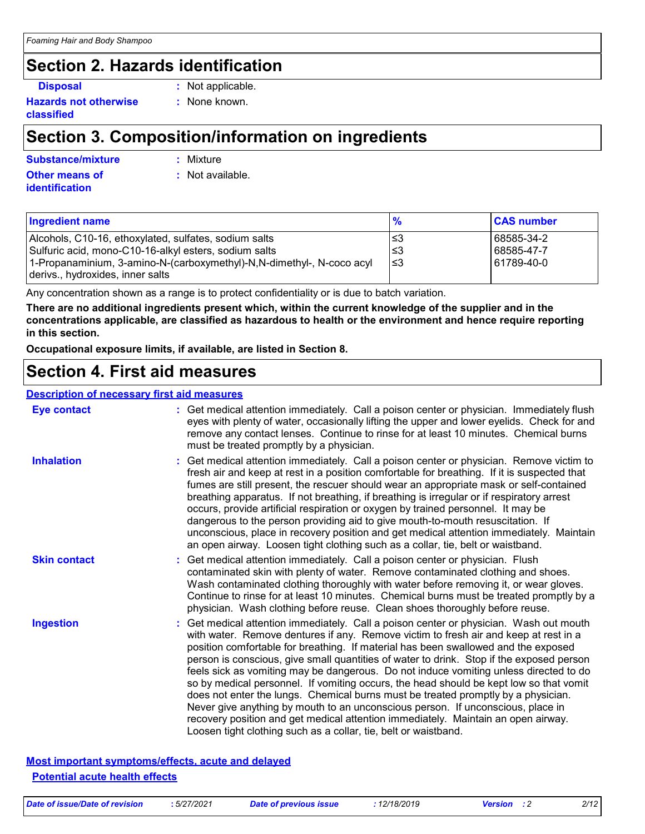## **Section 2. Hazards identification**

**Hazards not otherwise classified**

- **Disposal :** Not applicable.
	- **:** None known.

### **Section 3. Composition/information on ingredients**

**Other means of Substance/mixture :**

**identification**

Mixture

**:** Not available.

| <b>Ingredient name</b>                                                | $\frac{9}{6}$ | <b>CAS number</b> |
|-----------------------------------------------------------------------|---------------|-------------------|
| Alcohols, C10-16, ethoxylated, sulfates, sodium salts                 | l≤3           | 68585-34-2        |
| Sulfuric acid, mono-C10-16-alkyl esters, sodium salts                 | l≤3           | 68585-47-7        |
| 1-Propanaminium, 3-amino-N-(carboxymethyl)-N,N-dimethyl-, N-coco acyl | 3≥ا           | 61789-40-0        |
| derivs., hydroxides, inner salts                                      |               |                   |

Any concentration shown as a range is to protect confidentiality or is due to batch variation.

**There are no additional ingredients present which, within the current knowledge of the supplier and in the concentrations applicable, are classified as hazardous to health or the environment and hence require reporting in this section.**

**Occupational exposure limits, if available, are listed in Section 8.**

### **Section 4. First aid measures**

#### **Description of necessary first aid measures**

| <b>Eye contact</b>  | : Get medical attention immediately. Call a poison center or physician. Immediately flush<br>eyes with plenty of water, occasionally lifting the upper and lower eyelids. Check for and<br>remove any contact lenses. Continue to rinse for at least 10 minutes. Chemical burns<br>must be treated promptly by a physician.                                                                                                                                                                                                                                                                                                                                                                                                                                                                                                                                                         |
|---------------------|-------------------------------------------------------------------------------------------------------------------------------------------------------------------------------------------------------------------------------------------------------------------------------------------------------------------------------------------------------------------------------------------------------------------------------------------------------------------------------------------------------------------------------------------------------------------------------------------------------------------------------------------------------------------------------------------------------------------------------------------------------------------------------------------------------------------------------------------------------------------------------------|
| <b>Inhalation</b>   | : Get medical attention immediately. Call a poison center or physician. Remove victim to<br>fresh air and keep at rest in a position comfortable for breathing. If it is suspected that<br>fumes are still present, the rescuer should wear an appropriate mask or self-contained<br>breathing apparatus. If not breathing, if breathing is irregular or if respiratory arrest<br>occurs, provide artificial respiration or oxygen by trained personnel. It may be<br>dangerous to the person providing aid to give mouth-to-mouth resuscitation. If<br>unconscious, place in recovery position and get medical attention immediately. Maintain<br>an open airway. Loosen tight clothing such as a collar, tie, belt or waistband.                                                                                                                                                  |
| <b>Skin contact</b> | : Get medical attention immediately. Call a poison center or physician. Flush<br>contaminated skin with plenty of water. Remove contaminated clothing and shoes.<br>Wash contaminated clothing thoroughly with water before removing it, or wear gloves.<br>Continue to rinse for at least 10 minutes. Chemical burns must be treated promptly by a<br>physician. Wash clothing before reuse. Clean shoes thoroughly before reuse.                                                                                                                                                                                                                                                                                                                                                                                                                                                  |
| <b>Ingestion</b>    | : Get medical attention immediately. Call a poison center or physician. Wash out mouth<br>with water. Remove dentures if any. Remove victim to fresh air and keep at rest in a<br>position comfortable for breathing. If material has been swallowed and the exposed<br>person is conscious, give small quantities of water to drink. Stop if the exposed person<br>feels sick as vomiting may be dangerous. Do not induce vomiting unless directed to do<br>so by medical personnel. If vomiting occurs, the head should be kept low so that vomit<br>does not enter the lungs. Chemical burns must be treated promptly by a physician.<br>Never give anything by mouth to an unconscious person. If unconscious, place in<br>recovery position and get medical attention immediately. Maintain an open airway.<br>Loosen tight clothing such as a collar, tie, belt or waistband. |

**Most important symptoms/effects, acute and delayed Potential acute health effects**

*Date of issue/Date of revision* **:** *5/27/2021 Date of previous issue : 12/18/2019 Version : 2 2/12*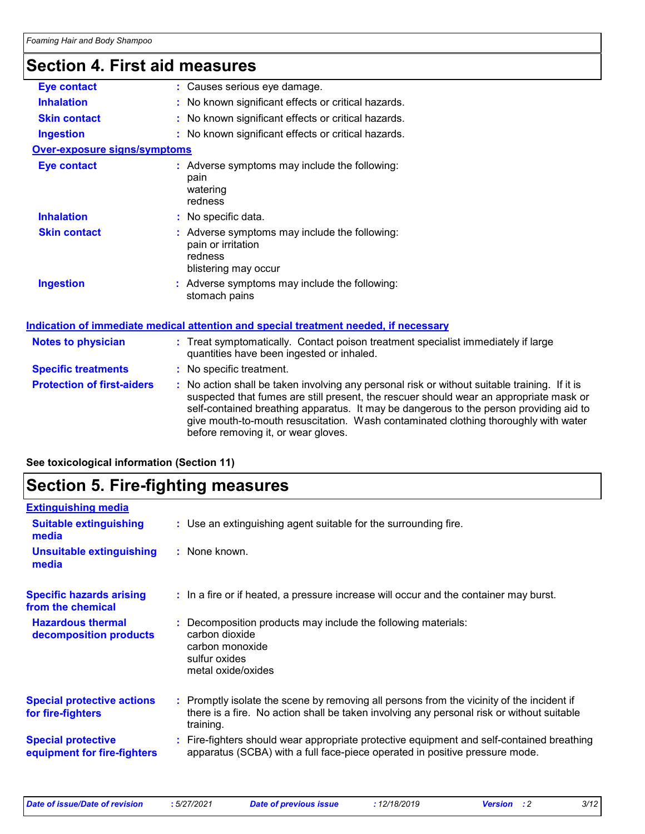## **Section 4. First aid measures**

| <b>Eye contact</b>                  | : Causes serious eye damage.                                                                                                                                                                                                                                                                                                                                                                                    |
|-------------------------------------|-----------------------------------------------------------------------------------------------------------------------------------------------------------------------------------------------------------------------------------------------------------------------------------------------------------------------------------------------------------------------------------------------------------------|
| <b>Inhalation</b>                   | : No known significant effects or critical hazards.                                                                                                                                                                                                                                                                                                                                                             |
| <b>Skin contact</b>                 | : No known significant effects or critical hazards.                                                                                                                                                                                                                                                                                                                                                             |
| <b>Ingestion</b>                    | : No known significant effects or critical hazards.                                                                                                                                                                                                                                                                                                                                                             |
| <b>Over-exposure signs/symptoms</b> |                                                                                                                                                                                                                                                                                                                                                                                                                 |
| <b>Eye contact</b>                  | : Adverse symptoms may include the following:<br>pain<br>watering<br>redness                                                                                                                                                                                                                                                                                                                                    |
| <b>Inhalation</b>                   | : No specific data.                                                                                                                                                                                                                                                                                                                                                                                             |
| <b>Skin contact</b>                 | : Adverse symptoms may include the following:<br>pain or irritation<br>redness<br>blistering may occur                                                                                                                                                                                                                                                                                                          |
| <b>Ingestion</b>                    | : Adverse symptoms may include the following:<br>stomach pains                                                                                                                                                                                                                                                                                                                                                  |
|                                     | Indication of immediate medical attention and special treatment needed, if necessary                                                                                                                                                                                                                                                                                                                            |
| <b>Notes to physician</b>           | : Treat symptomatically. Contact poison treatment specialist immediately if large<br>quantities have been ingested or inhaled.                                                                                                                                                                                                                                                                                  |
| <b>Specific treatments</b>          | : No specific treatment.                                                                                                                                                                                                                                                                                                                                                                                        |
| <b>Protection of first-aiders</b>   | : No action shall be taken involving any personal risk or without suitable training. If it is<br>suspected that fumes are still present, the rescuer should wear an appropriate mask or<br>self-contained breathing apparatus. It may be dangerous to the person providing aid to<br>give mouth-to-mouth resuscitation. Wash contaminated clothing thoroughly with water<br>before removing it, or wear gloves. |
|                                     |                                                                                                                                                                                                                                                                                                                                                                                                                 |

### **See toxicological information (Section 11)**

### **Section 5. Fire-fighting measures**

| <b>Extinguishing media</b>                               |                                                                                                                                                                                                     |
|----------------------------------------------------------|-----------------------------------------------------------------------------------------------------------------------------------------------------------------------------------------------------|
| <b>Suitable extinguishing</b><br>media                   | : Use an extinguishing agent suitable for the surrounding fire.                                                                                                                                     |
| <b>Unsuitable extinguishing</b><br>media                 | : None known.                                                                                                                                                                                       |
| <b>Specific hazards arising</b><br>from the chemical     | : In a fire or if heated, a pressure increase will occur and the container may burst.                                                                                                               |
| <b>Hazardous thermal</b><br>decomposition products       | Decomposition products may include the following materials:<br>carbon dioxide<br>carbon monoxide<br>sulfur oxides<br>metal oxide/oxides                                                             |
| <b>Special protective actions</b><br>for fire-fighters   | : Promptly isolate the scene by removing all persons from the vicinity of the incident if<br>there is a fire. No action shall be taken involving any personal risk or without suitable<br>training. |
| <b>Special protective</b><br>equipment for fire-fighters | Fire-fighters should wear appropriate protective equipment and self-contained breathing<br>apparatus (SCBA) with a full face-piece operated in positive pressure mode.                              |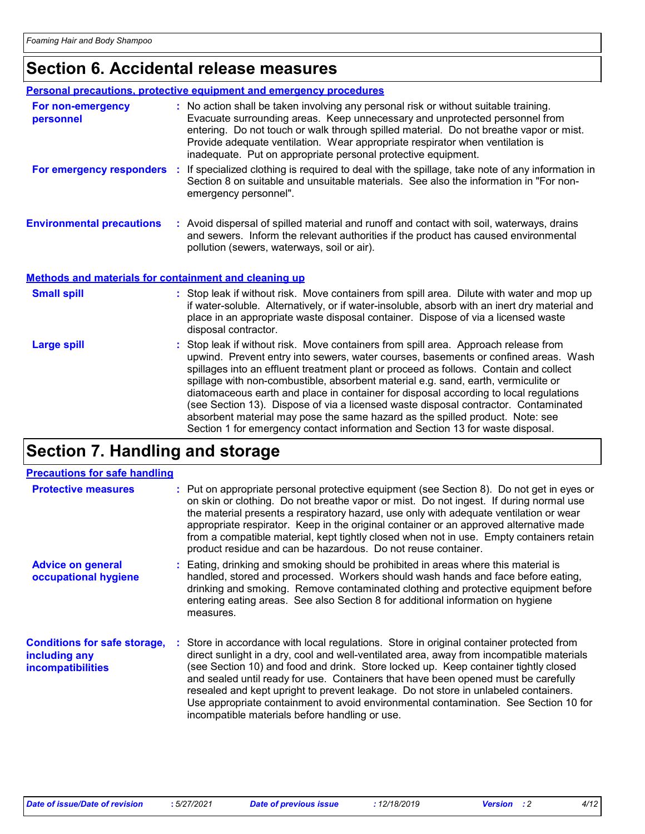### **Section 6. Accidental release measures**

|                                                              | Personal precautions, protective equipment and emergency procedures                                                                                                                                                                                                                                                                                                                                             |
|--------------------------------------------------------------|-----------------------------------------------------------------------------------------------------------------------------------------------------------------------------------------------------------------------------------------------------------------------------------------------------------------------------------------------------------------------------------------------------------------|
| For non-emergency<br>personnel                               | : No action shall be taken involving any personal risk or without suitable training.<br>Evacuate surrounding areas. Keep unnecessary and unprotected personnel from<br>entering. Do not touch or walk through spilled material. Do not breathe vapor or mist.<br>Provide adequate ventilation. Wear appropriate respirator when ventilation is<br>inadequate. Put on appropriate personal protective equipment. |
| For emergency responders                                     | : If specialized clothing is required to deal with the spillage, take note of any information in<br>Section 8 on suitable and unsuitable materials. See also the information in "For non-<br>emergency personnel".                                                                                                                                                                                              |
| <b>Environmental precautions</b>                             | : Avoid dispersal of spilled material and runoff and contact with soil, waterways, drains<br>and sewers. Inform the relevant authorities if the product has caused environmental<br>pollution (sewers, waterways, soil or air).                                                                                                                                                                                 |
| <b>Methods and materials for containment and cleaning up</b> |                                                                                                                                                                                                                                                                                                                                                                                                                 |
| <b>Small spill</b>                                           | : Stop leak if without risk. Move containers from spill area. Dilute with water and mop up<br>if water-soluble. Alternatively, or if water-insoluble, absorb with an inert dry material and<br>place in an appropriate waste disposal container. Dispose of via a licensed waste<br>disposal contractor.                                                                                                        |
| Large spill                                                  | : Stop leak if without risk. Move containers from spill area. Approach release from<br>upwind. Prevent entry into sewers, water courses, basements or confined areas. Wash<br>enillages into an effluent treatment plant ar proceed as follows. Centein and collect                                                                                                                                             |

spillages into an effluent treatment plant or proceed as follows. Contain and collect spillage with non-combustible, absorbent material e.g. sand, earth, vermiculite or diatomaceous earth and place in container for disposal according to local regulations (see Section 13). Dispose of via a licensed waste disposal contractor. Contaminated absorbent material may pose the same hazard as the spilled product. Note: see Section 1 for emergency contact information and Section 13 for waste disposal.

### **Section 7. Handling and storage**

| <b>Precautions for safe handling</b>                                             |                                                                                                                                                                                                                                                                                                                                                                                                                                                                                                                                                                                                     |
|----------------------------------------------------------------------------------|-----------------------------------------------------------------------------------------------------------------------------------------------------------------------------------------------------------------------------------------------------------------------------------------------------------------------------------------------------------------------------------------------------------------------------------------------------------------------------------------------------------------------------------------------------------------------------------------------------|
| <b>Protective measures</b>                                                       | : Put on appropriate personal protective equipment (see Section 8). Do not get in eyes or<br>on skin or clothing. Do not breathe vapor or mist. Do not ingest. If during normal use<br>the material presents a respiratory hazard, use only with adequate ventilation or wear<br>appropriate respirator. Keep in the original container or an approved alternative made<br>from a compatible material, kept tightly closed when not in use. Empty containers retain<br>product residue and can be hazardous. Do not reuse container.                                                                |
| <b>Advice on general</b><br>occupational hygiene                                 | Eating, drinking and smoking should be prohibited in areas where this material is<br>handled, stored and processed. Workers should wash hands and face before eating,<br>drinking and smoking. Remove contaminated clothing and protective equipment before<br>entering eating areas. See also Section 8 for additional information on hygiene<br>measures.                                                                                                                                                                                                                                         |
| <b>Conditions for safe storage,</b><br>including any<br><i>incompatibilities</i> | : Store in accordance with local regulations. Store in original container protected from<br>direct sunlight in a dry, cool and well-ventilated area, away from incompatible materials<br>(see Section 10) and food and drink. Store locked up. Keep container tightly closed<br>and sealed until ready for use. Containers that have been opened must be carefully<br>resealed and kept upright to prevent leakage. Do not store in unlabeled containers.<br>Use appropriate containment to avoid environmental contamination. See Section 10 for<br>incompatible materials before handling or use. |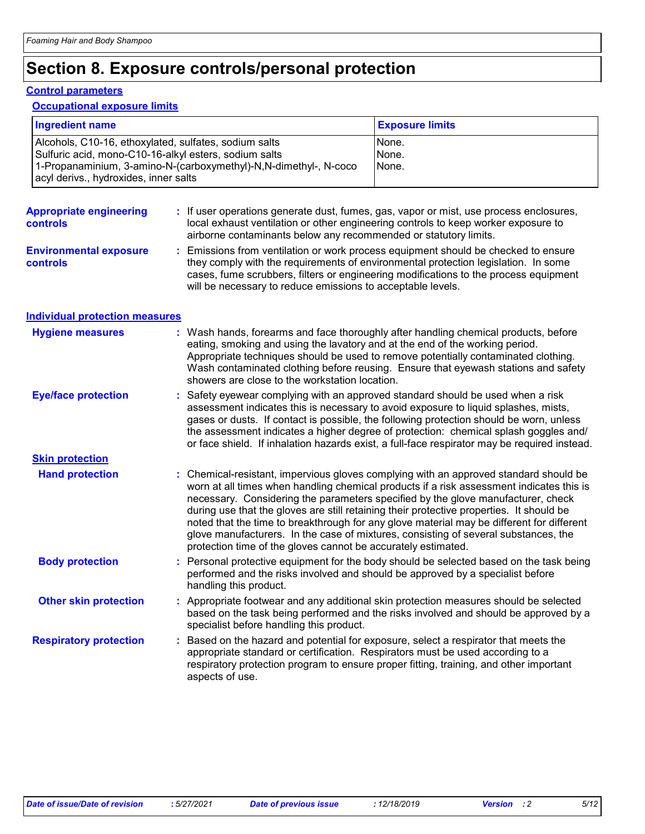## **Section 8. Exposure controls/personal protection**

#### **Control parameters**

#### **Occupational exposure limits**

| <b>Ingredient name</b>                                                                                                                                                                                                      |  |                                                                                                                                | <b>Exposure limits</b>                                                                                                                                                                                                                                                                                                                                                                                                                                                                                                                              |
|-----------------------------------------------------------------------------------------------------------------------------------------------------------------------------------------------------------------------------|--|--------------------------------------------------------------------------------------------------------------------------------|-----------------------------------------------------------------------------------------------------------------------------------------------------------------------------------------------------------------------------------------------------------------------------------------------------------------------------------------------------------------------------------------------------------------------------------------------------------------------------------------------------------------------------------------------------|
| Alcohols, C10-16, ethoxylated, sulfates, sodium salts<br>Sulfuric acid, mono-C10-16-alkyl esters, sodium salts<br>1-Propanaminium, 3-amino-N-(carboxymethyl)-N,N-dimethyl-, N-coco<br>acyl derivs., hydroxides, inner salts |  |                                                                                                                                | None.<br>None.<br>None.                                                                                                                                                                                                                                                                                                                                                                                                                                                                                                                             |
| <b>Appropriate engineering</b><br>controls                                                                                                                                                                                  |  | airborne contaminants below any recommended or statutory limits.                                                               | If user operations generate dust, fumes, gas, vapor or mist, use process enclosures,<br>local exhaust ventilation or other engineering controls to keep worker exposure to                                                                                                                                                                                                                                                                                                                                                                          |
| <b>Environmental exposure</b><br>controls                                                                                                                                                                                   |  | will be necessary to reduce emissions to acceptable levels.                                                                    | Emissions from ventilation or work process equipment should be checked to ensure<br>they comply with the requirements of environmental protection legislation. In some<br>cases, fume scrubbers, filters or engineering modifications to the process equipment                                                                                                                                                                                                                                                                                      |
| <b>Individual protection measures</b>                                                                                                                                                                                       |  |                                                                                                                                |                                                                                                                                                                                                                                                                                                                                                                                                                                                                                                                                                     |
| <b>Hygiene measures</b>                                                                                                                                                                                                     |  | eating, smoking and using the lavatory and at the end of the working period.<br>showers are close to the workstation location. | Wash hands, forearms and face thoroughly after handling chemical products, before<br>Appropriate techniques should be used to remove potentially contaminated clothing.<br>Wash contaminated clothing before reusing. Ensure that eyewash stations and safety                                                                                                                                                                                                                                                                                       |
| <b>Eye/face protection</b>                                                                                                                                                                                                  |  |                                                                                                                                | Safety eyewear complying with an approved standard should be used when a risk<br>assessment indicates this is necessary to avoid exposure to liquid splashes, mists,<br>gases or dusts. If contact is possible, the following protection should be worn, unless<br>the assessment indicates a higher degree of protection: chemical splash goggles and/<br>or face shield. If inhalation hazards exist, a full-face respirator may be required instead.                                                                                             |
| <b>Skin protection</b>                                                                                                                                                                                                      |  |                                                                                                                                |                                                                                                                                                                                                                                                                                                                                                                                                                                                                                                                                                     |
| <b>Hand protection</b>                                                                                                                                                                                                      |  | protection time of the gloves cannot be accurately estimated.                                                                  | Chemical-resistant, impervious gloves complying with an approved standard should be<br>worn at all times when handling chemical products if a risk assessment indicates this is<br>necessary. Considering the parameters specified by the glove manufacturer, check<br>during use that the gloves are still retaining their protective properties. It should be<br>noted that the time to breakthrough for any glove material may be different for different<br>glove manufacturers. In the case of mixtures, consisting of several substances, the |
| <b>Body protection</b>                                                                                                                                                                                                      |  | performed and the risks involved and should be approved by a specialist before<br>handling this product.                       | Personal protective equipment for the body should be selected based on the task being                                                                                                                                                                                                                                                                                                                                                                                                                                                               |
| <b>Other skin protection</b>                                                                                                                                                                                                |  | specialist before handling this product.                                                                                       | : Appropriate footwear and any additional skin protection measures should be selected<br>based on the task being performed and the risks involved and should be approved by a                                                                                                                                                                                                                                                                                                                                                                       |
| <b>Respiratory protection</b>                                                                                                                                                                                               |  | appropriate standard or certification. Respirators must be used according to a<br>aspects of use.                              | Based on the hazard and potential for exposure, select a respirator that meets the<br>respiratory protection program to ensure proper fitting, training, and other important                                                                                                                                                                                                                                                                                                                                                                        |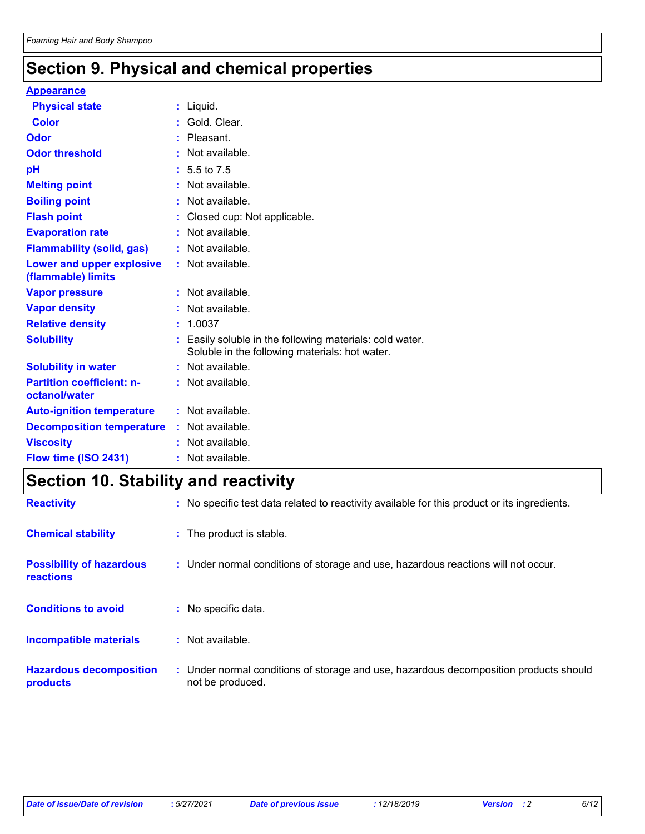## **Section 9. Physical and chemical properties**

#### **Appearance**

| <b>Physical state</b>                             | : Liquid.                                                                                                  |
|---------------------------------------------------|------------------------------------------------------------------------------------------------------------|
| Color                                             | Gold, Clear.                                                                                               |
| Odor                                              | Pleasant.                                                                                                  |
| <b>Odor threshold</b>                             | : Not available.                                                                                           |
| pH                                                | $: 5.5 \text{ to } 7.5$                                                                                    |
| <b>Melting point</b>                              | : Not available.                                                                                           |
| <b>Boiling point</b>                              | Not available.                                                                                             |
| <b>Flash point</b>                                | Closed cup: Not applicable.                                                                                |
| <b>Evaporation rate</b>                           | : Not available.                                                                                           |
| <b>Flammability (solid, gas)</b>                  | : Not available.                                                                                           |
| Lower and upper explosive<br>(flammable) limits   | : Not available.                                                                                           |
| <b>Vapor pressure</b>                             | : Not available.                                                                                           |
| <b>Vapor density</b>                              | Not available.                                                                                             |
| <b>Relative density</b>                           | : 1.0037                                                                                                   |
| <b>Solubility</b>                                 | : Easily soluble in the following materials: cold water.<br>Soluble in the following materials: hot water. |
| <b>Solubility in water</b>                        | : Not available.                                                                                           |
| <b>Partition coefficient: n-</b><br>octanol/water | : Not available.                                                                                           |
| <b>Auto-ignition temperature</b>                  | : Not available.                                                                                           |
| <b>Decomposition temperature</b>                  | : Not available.                                                                                           |
| <b>Viscosity</b>                                  | : Not available.                                                                                           |
| Flow time (ISO 2431)                              | $:$ Not available.                                                                                         |
|                                                   |                                                                                                            |

### **Section 10. Stability and reactivity**

| <b>Reactivity</b>                            |    | : No specific test data related to reactivity available for this product or its ingredients.              |
|----------------------------------------------|----|-----------------------------------------------------------------------------------------------------------|
| <b>Chemical stability</b>                    |    | : The product is stable.                                                                                  |
| <b>Possibility of hazardous</b><br>reactions |    | : Under normal conditions of storage and use, hazardous reactions will not occur.                         |
| <b>Conditions to avoid</b>                   | ÷. | No specific data.                                                                                         |
| <b>Incompatible materials</b>                |    | $:$ Not available.                                                                                        |
| <b>Hazardous decomposition</b><br>products   |    | : Under normal conditions of storage and use, hazardous decomposition products should<br>not be produced. |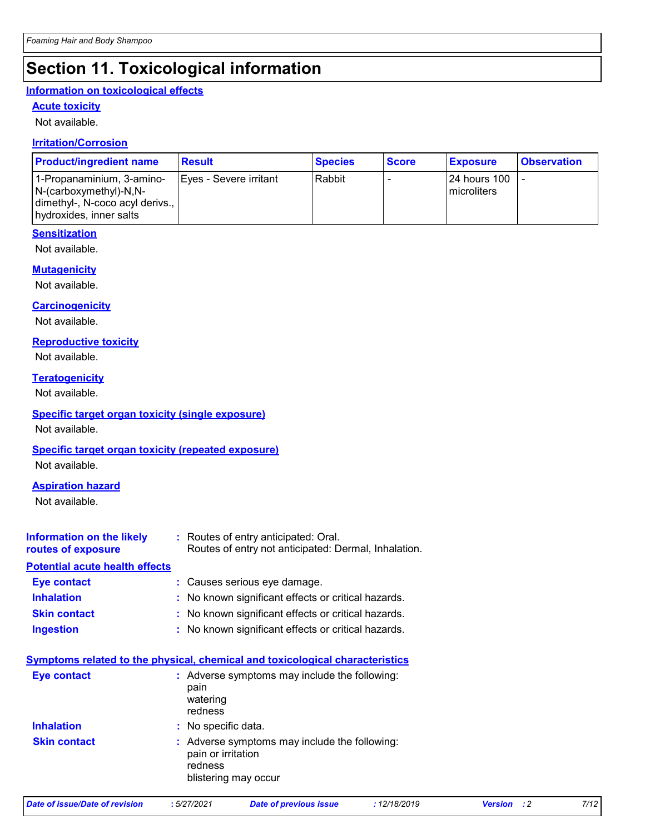## **Section 11. Toxicological information**

#### **Information on toxicological effects**

#### **Acute toxicity**

Not available.

#### **Irritation/Corrosion**

| <b>Product/ingredient name</b>                                                                                      | <b>Result</b>          | <b>Species</b> | <b>Score</b> | <b>Exposure</b>                      | <b>Observation</b> |
|---------------------------------------------------------------------------------------------------------------------|------------------------|----------------|--------------|--------------------------------------|--------------------|
| 1-Propanaminium, 3-amino-<br>$N-(carboxymethyl)-N,N-$<br>dimethyl-, N-coco acyl derivs.,<br>hydroxides, inner salts | Eyes - Severe irritant | Rabbit         |              | <b>24 hours 100</b><br>l microliters |                    |

### **Sensitization**

Not available.

#### **Mutagenicity**

Not available.

#### **Carcinogenicity**

Not available.

### **Reproductive toxicity**

Not available.

#### **Teratogenicity**

Not available.

#### **Specific target organ toxicity (single exposure)**

Not available.

### **Specific target organ toxicity (repeated exposure)**

Not available.

### **Aspiration hazard**

Not available.

| Information on the likely<br>routes of exposure | : Routes of entry anticipated: Oral.<br>Routes of entry not anticipated: Dermal, Inhalation. |
|-------------------------------------------------|----------------------------------------------------------------------------------------------|
| <b>Potential acute health effects</b>           |                                                                                              |
| <b>Eye contact</b>                              | : Causes serious eye damage.                                                                 |
| <b>Inhalation</b>                               | : No known significant effects or critical hazards.                                          |
| <b>Skin contact</b>                             | : No known significant effects or critical hazards.                                          |
| <b>Ingestion</b>                                | : No known significant effects or critical hazards.                                          |

### **Symptoms related to the physical, chemical and toxicological characteristics**

| <b>Eye contact</b>  | : Adverse symptoms may include the following:<br>pain<br>watering<br>redness                           |
|---------------------|--------------------------------------------------------------------------------------------------------|
| <b>Inhalation</b>   | : No specific data.                                                                                    |
| <b>Skin contact</b> | : Adverse symptoms may include the following:<br>pain or irritation<br>redness<br>blistering may occur |

| Date of issue/Date of revision |  |
|--------------------------------|--|
|                                |  |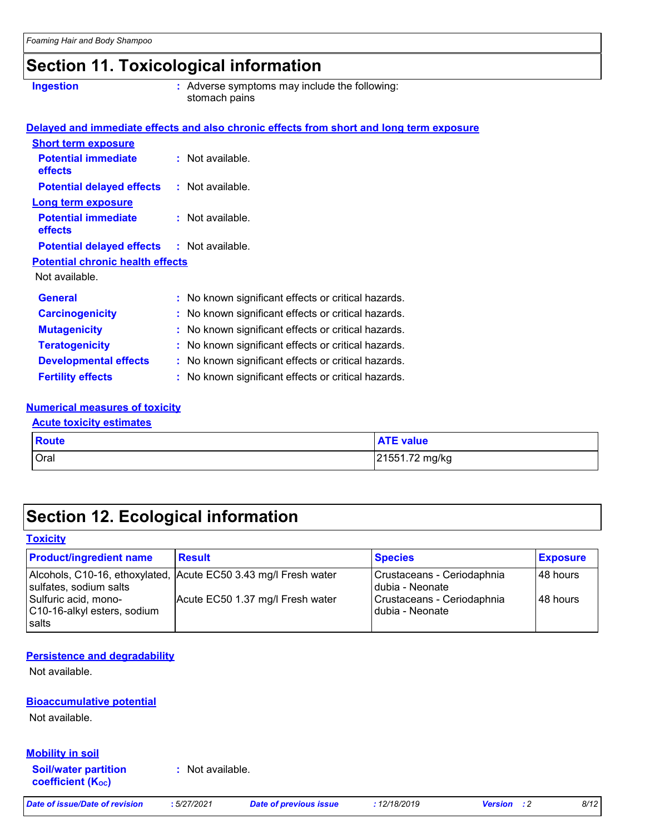### **Section 11. Toxicological information**

**Ingestion Adverse symptoms may include the following:**  $\blacksquare$ stomach pains

|                                                   | Delayed and immediate effects and also chronic effects from short and long term exposure |
|---------------------------------------------------|------------------------------------------------------------------------------------------|
| <b>Short term exposure</b>                        |                                                                                          |
| <b>Potential immediate</b><br><b>effects</b>      | $:$ Not available.                                                                       |
| <b>Potential delayed effects</b>                  | : Not available.                                                                         |
| <b>Long term exposure</b>                         |                                                                                          |
| <b>Potential immediate</b><br><b>effects</b>      | $:$ Not available.                                                                       |
| <b>Potential delayed effects : Not available.</b> |                                                                                          |
| <b>Potential chronic health effects</b>           |                                                                                          |
| Not available.                                    |                                                                                          |
| <b>General</b>                                    | : No known significant effects or critical hazards.                                      |
| <b>Carcinogenicity</b>                            | : No known significant effects or critical hazards.                                      |
| <b>Mutagenicity</b>                               | : No known significant effects or critical hazards.                                      |
| <b>Teratogenicity</b>                             | : No known significant effects or critical hazards.                                      |
| <b>Developmental effects</b>                      | : No known significant effects or critical hazards.                                      |
| <b>Fertility effects</b>                          | : No known significant effects or critical hazards.                                      |
|                                                   |                                                                                          |

#### **Numerical measures of toxicity**

#### **Acute toxicity estimates**

| Route       | <b>ATE value</b> |
|-------------|------------------|
| <b>Oral</b> | 21551.72 mg/kg   |

### **Section 12. Ecological information**

### **Toxicity**

| <b>Product/ingredient name</b>                               | <b>Result</b>                                                   | <b>Species</b>                                  | <b>Exposure</b> |
|--------------------------------------------------------------|-----------------------------------------------------------------|-------------------------------------------------|-----------------|
| sulfates, sodium salts                                       | Alcohols, C10-16, ethoxylated, Acute EC50 3.43 mg/l Fresh water | Crustaceans - Ceriodaphnia<br>Idubia - Neonate  | l 48 hours      |
| Sulfuric acid, mono-<br>C10-16-alkyl esters, sodium<br>salts | Acute EC50 1.37 mg/l Fresh water                                | Crustaceans - Ceriodaphnia<br>I dubia - Neonate | l 48 hours      |

#### **Persistence and degradability**

Not available.

#### **Bioaccumulative potential**

Not available.

#### **Mobility in soil**

**Soil/water partition coefficient (KOC)**

**:** Not available.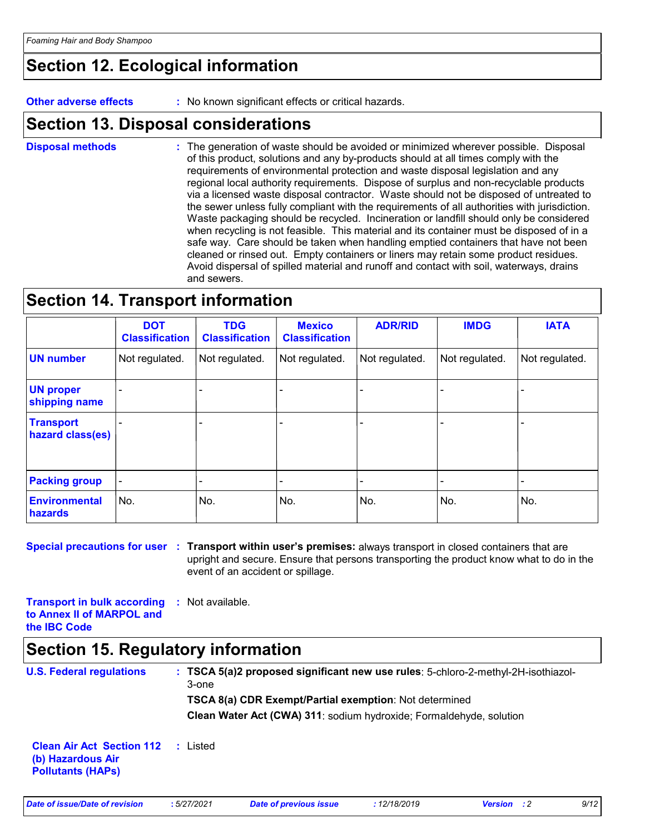### **Section 12. Ecological information**

**Other adverse effects** : No known significant effects or critical hazards.

### **Section 13. Disposal considerations**

The generation of waste should be avoided or minimized wherever possible. Disposal of this product, solutions and any by-products should at all times comply with the requirements of environmental protection and waste disposal legislation and any regional local authority requirements. Dispose of surplus and non-recyclable products via a licensed waste disposal contractor. Waste should not be disposed of untreated to the sewer unless fully compliant with the requirements of all authorities with jurisdiction. Waste packaging should be recycled. Incineration or landfill should only be considered when recycling is not feasible. This material and its container must be disposed of in a safe way. Care should be taken when handling emptied containers that have not been cleaned or rinsed out. Empty containers or liners may retain some product residues. Avoid dispersal of spilled material and runoff and contact with soil, waterways, drains and sewers. **Disposal methods :**

### **Section 14. Transport information**

|                                        | <b>DOT</b><br><b>Classification</b> | <b>TDG</b><br><b>Classification</b> | <b>Mexico</b><br><b>Classification</b> | <b>ADR/RID</b> | <b>IMDG</b>    | <b>IATA</b>    |
|----------------------------------------|-------------------------------------|-------------------------------------|----------------------------------------|----------------|----------------|----------------|
| <b>UN number</b>                       | Not regulated.                      | Not regulated.                      | Not regulated.                         | Not regulated. | Not regulated. | Not regulated. |
| <b>UN proper</b><br>shipping name      |                                     |                                     |                                        |                |                |                |
| <b>Transport</b><br>hazard class(es)   |                                     |                                     |                                        |                |                |                |
| <b>Packing group</b>                   |                                     |                                     |                                        |                |                |                |
| <b>Environmental</b><br><b>hazards</b> | No.                                 | No.                                 | No.                                    | No.            | No.            | No.            |

**Special precautions for user Transport within user's premises:** always transport in closed containers that are **:** upright and secure. Ensure that persons transporting the product know what to do in the event of an accident or spillage.

**Transport in bulk according :** Not available. **to Annex II of MARPOL and the IBC Code**

### **Section 15. Regulatory information**

| <b>U.S. Federal regulations</b>                                                   | $\pm$ TSCA 5(a)2 proposed significant new use rules: 5-chloro-2-methyl-2H-isothiazol-<br>3-one<br>TSCA 8(a) CDR Exempt/Partial exemption: Not determined<br>Clean Water Act (CWA) 311: sodium hydroxide; Formaldehyde, solution |
|-----------------------------------------------------------------------------------|---------------------------------------------------------------------------------------------------------------------------------------------------------------------------------------------------------------------------------|
| <b>Clean Air Act Section 112</b><br>(b) Hazardous Air<br><b>Pollutants (HAPs)</b> | : Listed                                                                                                                                                                                                                        |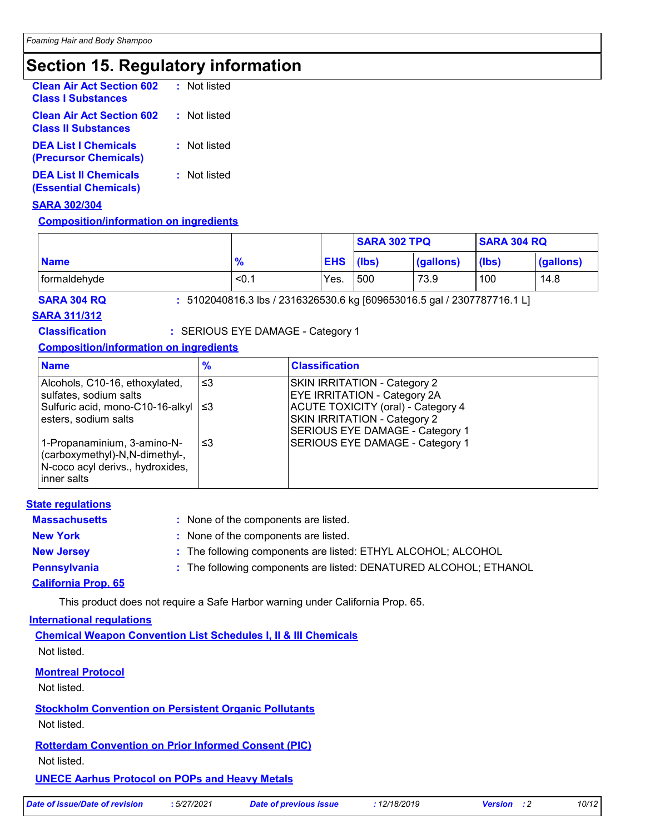### **Section 15. Regulatory information**

| <b>Clean Air Act Section 602</b><br><b>Class I Substances</b>  | : Not listed |
|----------------------------------------------------------------|--------------|
| <b>Clean Air Act Section 602</b><br><b>Class II Substances</b> | : Not listed |
| <b>DEA List I Chemicals</b><br>(Precursor Chemicals)           | : Not listed |
| <b>DEA List II Chemicals</b><br><b>(Essential Chemicals)</b>   | : Not listed |

#### **SARA 302/304**

#### **Composition/information on ingredients**

|              |               |                  | <b>SARA 302 TPQ</b> |           | <b>SARA 304 RQ</b> |           |
|--------------|---------------|------------------|---------------------|-----------|--------------------|-----------|
| <b>Name</b>  | $\frac{9}{6}$ | <b>EHS</b> (lbs) |                     | (gallons) | (lbs)              | (gallons) |
| formaldehyde | < 0.1         | Yes.             | 500                 | 73.9      | 100                | 14.8      |

**SARA 304 RQ :** 5102040816.3 lbs / 2316326530.6 kg [609653016.5 gal / 2307787716.1 L]

#### **SARA 311/312**

**Classification :** SERIOUS EYE DAMAGE - Category 1

#### **Composition/information on ingredients**

| <b>Name</b>                                                                                                        | $\frac{9}{6}$ | <b>Classification</b>                                                                                        |
|--------------------------------------------------------------------------------------------------------------------|---------------|--------------------------------------------------------------------------------------------------------------|
| Alcohols, C10-16, ethoxylated,<br>sulfates, sodium salts                                                           | 3≥ ا          | <b>SKIN IRRITATION - Category 2</b><br><b>EYE IRRITATION - Category 2A</b>                                   |
| Sulfuric acid, mono-C10-16-alkyl   ≤3<br>esters, sodium salts                                                      |               | ACUTE TOXICITY (oral) - Category 4<br><b>SKIN IRRITATION - Category 2</b><br>SERIOUS EYE DAMAGE - Category 1 |
| 1-Propanaminium, 3-amino-N-<br>(carboxymethyl)-N,N-dimethyl-,<br>N-coco acyl derivs., hydroxides,<br>l inner salts | '≤3           | SERIOUS EYE DAMAGE - Category 1                                                                              |

| <b>State regulations</b>   |                                                                   |
|----------------------------|-------------------------------------------------------------------|
| <b>Massachusetts</b>       | : None of the components are listed.                              |
| <b>New York</b>            | : None of the components are listed.                              |
| <b>New Jersey</b>          | : The following components are listed: ETHYL ALCOHOL; ALCOHOL     |
| <b>Pennsylvania</b>        | : The following components are listed: DENATURED ALCOHOL; ETHANOL |
| <b>California Prop. 65</b> |                                                                   |

This product does not require a Safe Harbor warning under California Prop. 65.

#### **International regulations**

**Chemical Weapon Convention List Schedules I, II & III Chemicals** Not listed.

#### **Montreal Protocol**

Not listed.

#### **Stockholm Convention on Persistent Organic Pollutants**

Not listed.

#### **Rotterdam Convention on Prior Informed Consent (PIC)**

Not listed.

#### **UNECE Aarhus Protocol on POPs and Heavy Metals**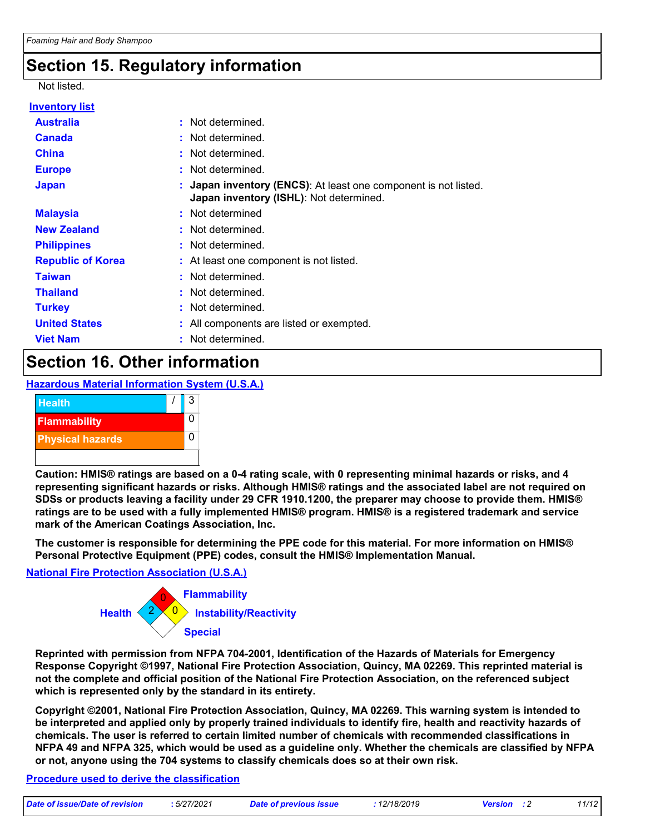### **Section 15. Regulatory information**

#### Not listed.

| <b>Inventory list</b>    |                                                                                                            |
|--------------------------|------------------------------------------------------------------------------------------------------------|
| <b>Australia</b>         | : Not determined.                                                                                          |
| <b>Canada</b>            | : Not determined.                                                                                          |
| <b>China</b>             | : Not determined.                                                                                          |
| <b>Europe</b>            | : Not determined.                                                                                          |
| <b>Japan</b>             | : Japan inventory (ENCS): At least one component is not listed.<br>Japan inventory (ISHL): Not determined. |
| <b>Malaysia</b>          | : Not determined                                                                                           |
| <b>New Zealand</b>       | : Not determined.                                                                                          |
| <b>Philippines</b>       | : Not determined.                                                                                          |
| <b>Republic of Korea</b> | : At least one component is not listed.                                                                    |
| <b>Taiwan</b>            | : Not determined.                                                                                          |
| <b>Thailand</b>          | : Not determined.                                                                                          |
| <b>Turkey</b>            | : Not determined.                                                                                          |
| <b>United States</b>     | : All components are listed or exempted.                                                                   |
| <b>Viet Nam</b>          | : Not determined.                                                                                          |

### **Section 16. Other information**

**Hazardous Material Information System (U.S.A.)**



**Caution: HMIS® ratings are based on a 0-4 rating scale, with 0 representing minimal hazards or risks, and 4 representing significant hazards or risks. Although HMIS® ratings and the associated label are not required on SDSs or products leaving a facility under 29 CFR 1910.1200, the preparer may choose to provide them. HMIS® ratings are to be used with a fully implemented HMIS® program. HMIS® is a registered trademark and service mark of the American Coatings Association, Inc.**

**The customer is responsible for determining the PPE code for this material. For more information on HMIS® Personal Protective Equipment (PPE) codes, consult the HMIS® Implementation Manual.**

**National Fire Protection Association (U.S.A.)**



**Reprinted with permission from NFPA 704-2001, Identification of the Hazards of Materials for Emergency Response Copyright ©1997, National Fire Protection Association, Quincy, MA 02269. This reprinted material is not the complete and official position of the National Fire Protection Association, on the referenced subject which is represented only by the standard in its entirety.**

**Copyright ©2001, National Fire Protection Association, Quincy, MA 02269. This warning system is intended to be interpreted and applied only by properly trained individuals to identify fire, health and reactivity hazards of chemicals. The user is referred to certain limited number of chemicals with recommended classifications in NFPA 49 and NFPA 325, which would be used as a guideline only. Whether the chemicals are classified by NFPA or not, anyone using the 704 systems to classify chemicals does so at their own risk.**

#### **Procedure used to derive the classification**

|                                |            |         | 12/19/2011 | 14/40 |
|--------------------------------|------------|---------|------------|-------|
| Date of issue/Date of revision | .5/27/2021 | Date of | 776/2013   | 1/1/  |